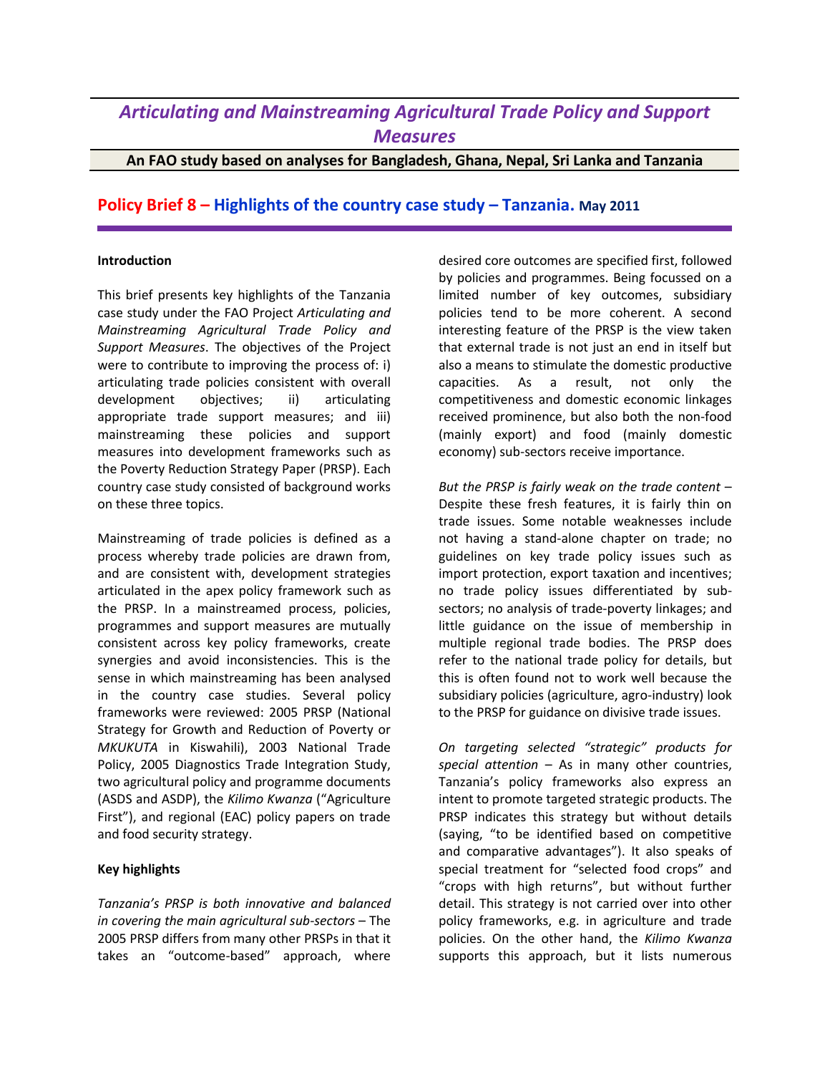## *Articulating and Mainstreaming Agricultural Trade Policy and Support Measures*

**An FAO study based on analyses for Bangladesh, Ghana, Nepal, Sri Lanka and Tanzania**

## **Policy Brief 8 – Highlights of the country case study – Tanzania. May 2011**

## **Introduction**

This brief presents key highlights of the Tanzania case study under the FAO Project *Articulating and Mainstreaming Agricultural Trade Policy and Support Measures*. The objectives of the Project were to contribute to improving the process of: i) articulating trade policies consistent with overall development objectives; ii) articulating appropriate trade support measures; and iii) mainstreaming these policies and support measures into development frameworks such as the Poverty Reduction Strategy Paper (PRSP). Each country case study consisted of background works on these three topics.

Mainstreaming of trade policies is defined as a process whereby trade policies are drawn from, and are consistent with, development strategies articulated in the apex policy framework such as the PRSP. In a mainstreamed process, policies, programmes and support measures are mutually consistent across key policy frameworks, create synergies and avoid inconsistencies. This is the sense in which mainstreaming has been analysed in the country case studies. Several policy frameworks were reviewed: 2005 PRSP (National Strategy for Growth and Reduction of Poverty or *MKUKUTA* in Kiswahili), 2003 National Trade Policy, 2005 Diagnostics Trade Integration Study, two agricultural policy and programme documents (ASDS and ASDP), the *Kilimo Kwanza* ("Agriculture First"), and regional (EAC) policy papers on trade and food security strategy.

## **Key highlights**

*Tanzania's PRSP is both innovative and balanced in covering the main agricultural sub-sectors* – The 2005 PRSP differs from many other PRSPs in that it takes an "outcome-based" approach, where

desired core outcomes are specified first, followed by policies and programmes. Being focussed on a limited number of key outcomes, subsidiary policies tend to be more coherent. A second interesting feature of the PRSP is the view taken that external trade is not just an end in itself but also a means to stimulate the domestic productive capacities. As a result, not only the competitiveness and domestic economic linkages received prominence, but also both the non-food (mainly export) and food (mainly domestic economy) sub-sectors receive importance.

*But the PRSP is fairly weak on the trade content* – Despite these fresh features, it is fairly thin on trade issues. Some notable weaknesses include not having a stand-alone chapter on trade; no guidelines on key trade policy issues such as import protection, export taxation and incentives; no trade policy issues differentiated by subsectors; no analysis of trade-poverty linkages; and little guidance on the issue of membership in multiple regional trade bodies. The PRSP does refer to the national trade policy for details, but this is often found not to work well because the subsidiary policies (agriculture, agro-industry) look to the PRSP for guidance on divisive trade issues.

*On targeting selected "strategic" products for special attention* – As in many other countries, Tanzania's policy frameworks also express an intent to promote targeted strategic products. The PRSP indicates this strategy but without details (saying, "to be identified based on competitive and comparative advantages"). It also speaks of special treatment for "selected food crops" and "crops with high returns", but without further detail. This strategy is not carried over into other policy frameworks, e.g. in agriculture and trade policies. On the other hand, the *Kilimo Kwanza* supports this approach, but it lists numerous